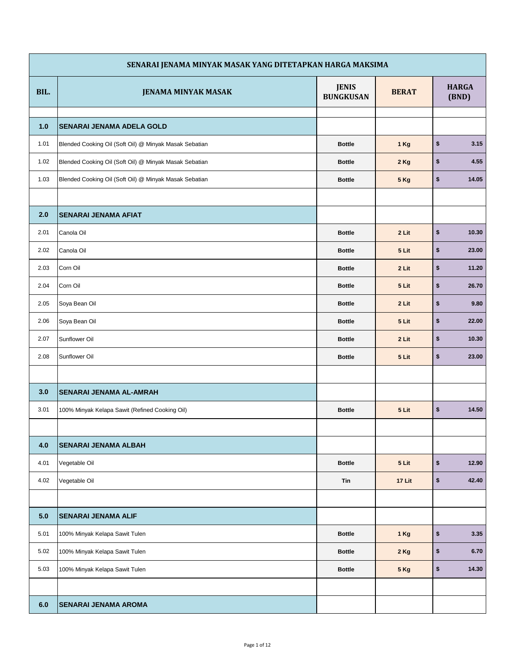|      | SENARAI JENAMA MINYAK MASAK YANG DITETAPKAN HARGA MAKSIMA |                                  |              |                         |
|------|-----------------------------------------------------------|----------------------------------|--------------|-------------------------|
| BIL. | <b>JENAMA MINYAK MASAK</b>                                | <b>JENIS</b><br><b>BUNGKUSAN</b> | <b>BERAT</b> | <b>HARGA</b><br>(BND)   |
| 1.0  | <b>SENARAI JENAMA ADELA GOLD</b>                          |                                  |              |                         |
| 1.01 | Blended Cooking Oil (Soft Oil) @ Minyak Masak Sebatian    | <b>Bottle</b>                    | 1 Kg         | \$<br>3.15              |
| 1.02 | Blended Cooking Oil (Soft Oil) @ Minyak Masak Sebatian    | <b>Bottle</b>                    | 2 Kg         | \$<br>4.55              |
| 1.03 | Blended Cooking Oil (Soft Oil) @ Minyak Masak Sebatian    | <b>Bottle</b>                    | <b>5 Kg</b>  | \$<br>14.05             |
|      |                                                           |                                  |              |                         |
| 2.0  | <b>SENARAI JENAMA AFIAT</b>                               |                                  |              |                         |
| 2.01 | Canola Oil                                                | <b>Bottle</b>                    | 2 Lit        | \$<br>10.30             |
| 2.02 | Canola Oil                                                | <b>Bottle</b>                    | 5 Lit        | \$<br>23.00             |
| 2.03 | Corn Oil                                                  | <b>Bottle</b>                    | 2 Lit        | \$<br>11.20             |
| 2.04 | Corn Oil                                                  | <b>Bottle</b>                    | 5 Lit        | \$<br>26.70             |
| 2.05 | Soya Bean Oil                                             | <b>Bottle</b>                    | 2 Lit        | \$<br>9.80              |
| 2.06 | Soya Bean Oil                                             | <b>Bottle</b>                    | 5 Lit        | \$<br>22.00             |
| 2.07 | Sunflower Oil                                             | <b>Bottle</b>                    | 2 Lit        | \$<br>10.30             |
| 2.08 | Sunflower Oil                                             | <b>Bottle</b>                    | 5 Lit        | \$<br>23.00             |
|      |                                                           |                                  |              |                         |
| 3.0  | <b>SENARAI JENAMA AL-AMRAH</b>                            |                                  |              |                         |
| 3.01 | 100% Minyak Kelapa Sawit (Refined Cooking Oil)            | <b>Bottle</b>                    | 5 Lit        | \$<br>14.50             |
|      |                                                           |                                  |              |                         |
| 4.0  | <b>SENARAI JENAMA ALBAH</b>                               |                                  |              |                         |
| 4.01 | Vegetable Oil                                             | <b>Bottle</b>                    | 5 Lit        | \$<br>12.90             |
| 4.02 | Vegetable Oil                                             | Tin                              | 17 Lit       | $$\mathbb{S}$$<br>42.40 |
|      |                                                           |                                  |              |                         |
| 5.0  | <b>SENARAI JENAMA ALIF</b>                                |                                  |              |                         |
| 5.01 | 100% Minyak Kelapa Sawit Tulen                            | <b>Bottle</b>                    | 1 Kg         | \$<br>3.35              |
| 5.02 | 100% Minyak Kelapa Sawit Tulen                            | <b>Bottle</b>                    | 2 Kg         | \$<br>6.70              |
| 5.03 | 100% Minyak Kelapa Sawit Tulen                            | <b>Bottle</b>                    | 5 Kg         | \$<br>14.30             |
|      |                                                           |                                  |              |                         |
| 6.0  | <b>SENARAI JENAMA AROMA</b>                               |                                  |              |                         |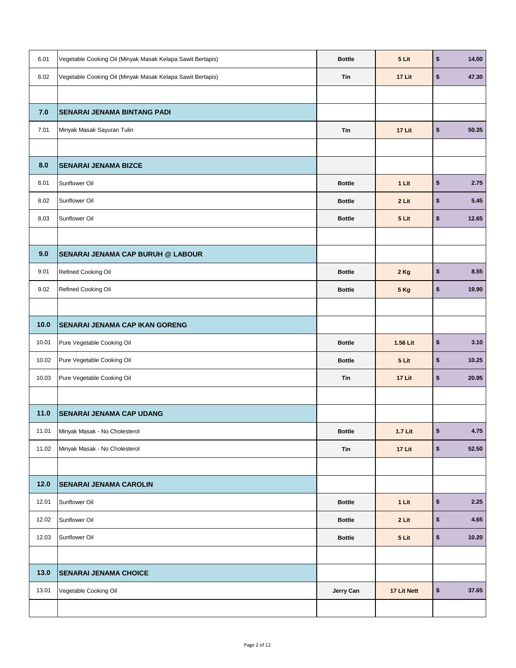| 6.01   | Vegetable Cooking Oil (Minyak Masak Kelapa Sawit Bertapis) | <b>Bottle</b> | 5 Lit       | \$<br>14.00 |
|--------|------------------------------------------------------------|---------------|-------------|-------------|
| 6.02   | Vegetable Cooking Oil (Minyak Masak Kelapa Sawit Bertapis) | Tin           | 17 Lit      | \$<br>47.30 |
|        |                                                            |               |             |             |
| 7.0    | <b>SENARAI JENAMA BINTANG PADI</b>                         |               |             |             |
| 7.01   | Minyak Masak Sayuran Tulin                                 | Tin           | 17 Lit      | \$<br>50.35 |
|        |                                                            |               |             |             |
| 8.0    | <b>SENARAI JENAMA BIZCE</b>                                |               |             |             |
| 8.01   | Sunflower Oil                                              | <b>Bottle</b> | 1 Lit       | \$<br>2.75  |
| 8.02   | Sunflower Oil                                              | <b>Bottle</b> | 2 Lit       | \$<br>5.45  |
| 8.03   | Sunflower Oil                                              | <b>Bottle</b> | 5 Lit       | \$<br>12.65 |
|        |                                                            |               |             |             |
| 9.0    | <b>SENARAI JENAMA CAP BURUH @ LABOUR</b>                   |               |             |             |
| 9.01   | Refined Cooking Oil                                        | <b>Bottle</b> | 2 Kg        | \$<br>8.55  |
| 9.02   | Refined Cooking Oil                                        | <b>Bottle</b> | <b>5 Kg</b> | \$<br>19.90 |
|        |                                                            |               |             |             |
| 10.0   | <b>SENARAI JENAMA CAP IKAN GORENG</b>                      |               |             |             |
| 10.01  | Pure Vegetable Cooking Oil                                 | <b>Bottle</b> | 1.56 Lit    | \$<br>3.10  |
| 10.02  | Pure Vegetable Cooking Oil                                 | <b>Bottle</b> | 5 Lit       | \$<br>10.25 |
| 10.03  | Pure Vegetable Cooking Oil                                 | Tin           | 17 Lit      | \$<br>20.95 |
|        |                                                            |               |             |             |
| 11.0   | <b>SENARAI JENAMA CAP UDANG</b>                            |               |             |             |
| 11.01  | Minyak Masak - No Cholesterol                              | <b>Bottle</b> | 1.7 Lit     | \$<br>4.75  |
| 11.02  | Minyak Masak - No Cholesterol                              | <b>Tin</b>    | 17 Lit      | \$<br>52.50 |
|        |                                                            |               |             |             |
| $12.0$ | <b>SENARAI JENAMA CAROLIN</b>                              |               |             |             |
| 12.01  | Sunflower Oil                                              | <b>Bottle</b> | 1 Lit       | \$<br>2.25  |
| 12.02  | Sunflower Oil                                              | <b>Bottle</b> | 2 Lit       | \$<br>4.65  |
| 12.03  | Sunflower Oil                                              | <b>Bottle</b> | 5 Lit       | \$<br>10.20 |
|        |                                                            |               |             |             |
| 13.0   | <b>SENARAI JENAMA CHOICE</b>                               |               |             |             |
| 13.01  | Vegetable Cooking Oil                                      | Jerry Can     | 17 Lit Nett | \$<br>37.65 |
|        |                                                            |               |             |             |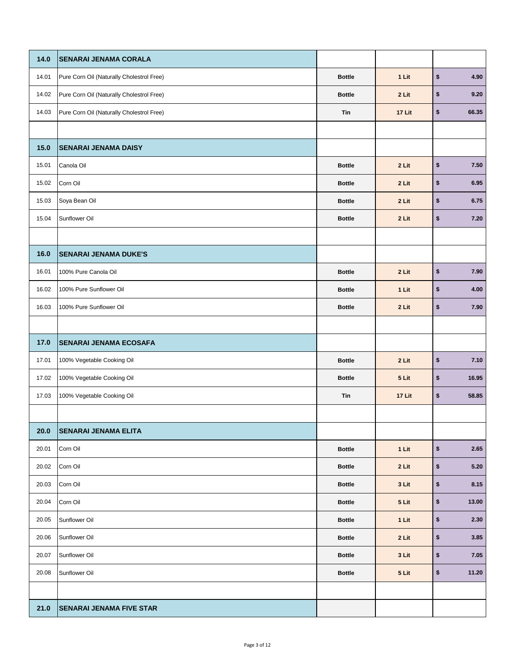| 14.0  | <b>SENARAI JENAMA CORALA</b>              |               |        |                                     |
|-------|-------------------------------------------|---------------|--------|-------------------------------------|
| 14.01 | Pure Corn Oil (Naturally Cholestrol Free) | <b>Bottle</b> | 1 Lit  | \$<br>4.90                          |
| 14.02 | Pure Corn Oil (Naturally Cholestrol Free) | <b>Bottle</b> | 2 Lit  | \$<br>9.20                          |
| 14.03 | Pure Corn Oil (Naturally Cholestrol Free) | Tin           | 17 Lit | \$<br>66.35                         |
|       |                                           |               |        |                                     |
| 15.0  | <b>SENARAI JENAMA DAISY</b>               |               |        |                                     |
| 15.01 | Canola Oil                                | <b>Bottle</b> | 2 Lit  | \$<br>7.50                          |
| 15.02 | Corn Oil                                  | <b>Bottle</b> | 2 Lit  | \$<br>6.95                          |
| 15.03 | Soya Bean Oil                             | <b>Bottle</b> | 2 Lit  | \$<br>6.75                          |
| 15.04 | Sunflower Oil                             | <b>Bottle</b> | 2 Lit  | \$<br>7.20                          |
|       |                                           |               |        |                                     |
| 16.0  | <b>SENARAI JENAMA DUKE'S</b>              |               |        |                                     |
| 16.01 | 100% Pure Canola Oil                      | <b>Bottle</b> | 2 Lit  | \$<br>7.90                          |
| 16.02 | 100% Pure Sunflower Oil                   | <b>Bottle</b> | 1 Lit  | \$<br>4.00                          |
| 16.03 | 100% Pure Sunflower Oil                   | <b>Bottle</b> | 2 Lit  | \$<br>7.90                          |
|       |                                           |               |        |                                     |
|       |                                           |               |        |                                     |
| 17.0  | <b>SENARAI JENAMA ECOSAFA</b>             |               |        |                                     |
| 17.01 | 100% Vegetable Cooking Oil                | <b>Bottle</b> | 2 Lit  | \$<br>7.10                          |
| 17.02 | 100% Vegetable Cooking Oil                | <b>Bottle</b> | 5 Lit  | \$<br>16.95                         |
| 17.03 | 100% Vegetable Cooking Oil                | Tin           | 17 Lit | \$<br>58.85                         |
|       |                                           |               |        |                                     |
| 20.0  | <b>SENARAI JENAMA ELITA</b>               |               |        |                                     |
| 20.01 | Corn Oil                                  | <b>Bottle</b> | 1 Lit  | \$                                  |
| 20.02 | Corn Oil                                  | <b>Bottle</b> | 2 Lit  | \$<br>5.20                          |
| 20.03 | Corn Oil                                  | <b>Bottle</b> | 3 Lit  | \$<br>2.65                          |
| 20.04 | Corn Oil                                  | <b>Bottle</b> | 5 Lit  | \$<br>13.00                         |
| 20.05 | Sunflower Oil                             | <b>Bottle</b> | 1 Lit  | \$                                  |
| 20.06 | Sunflower Oil                             | <b>Bottle</b> | 2 Lit  | \$<br>3.85                          |
| 20.07 | Sunflower Oil                             | <b>Bottle</b> | 3 Lit  | \$                                  |
| 20.08 | Sunflower Oil                             | <b>Bottle</b> | 5 Lit  | \$<br>8.15<br>2.30<br>7.05<br>11.20 |
|       |                                           |               |        |                                     |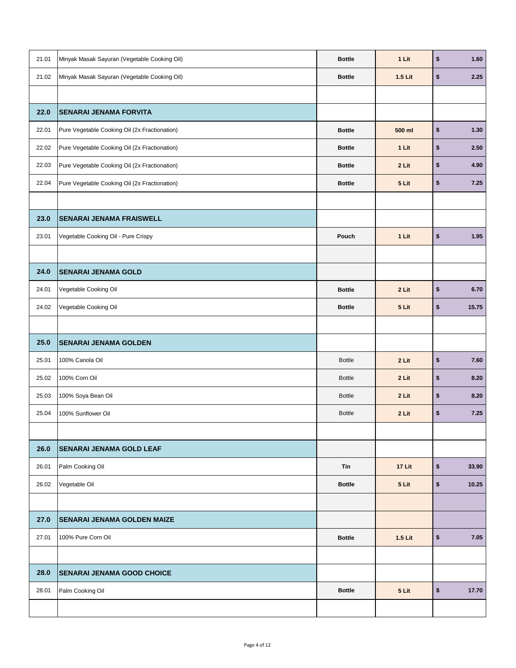| 21.01 | Minyak Masak Sayuran (Vegetable Cooking Oil)  | <b>Bottle</b> | 1 Lit   | \$<br>1.60  |
|-------|-----------------------------------------------|---------------|---------|-------------|
| 21.02 | Minyak Masak Sayuran (Vegetable Cooking Oil)  | <b>Bottle</b> | 1.5 Lit | \$<br>2.25  |
|       |                                               |               |         |             |
| 22.0  | <b>SENARAI JENAMA FORVITA</b>                 |               |         |             |
| 22.01 | Pure Vegetable Cooking Oil (2x Fractionation) | <b>Bottle</b> | 500 ml  | \$<br>1.30  |
| 22.02 | Pure Vegetable Cooking Oil (2x Fractionation) | <b>Bottle</b> | 1 Lit   | \$<br>2.50  |
| 22.03 | Pure Vegetable Cooking Oil (2x Fractionation) | <b>Bottle</b> | 2 Lit   | \$<br>4.90  |
| 22.04 | Pure Vegetable Cooking Oil (2x Fractionation) | <b>Bottle</b> | 5 Lit   | \$<br>7.25  |
|       |                                               |               |         |             |
| 23.0  | <b>SENARAI JENAMA FRAISWELL</b>               |               |         |             |
| 23.01 | Vegetable Cooking Oil - Pure Crispy           | Pouch         | 1 Lit   | \$<br>1.95  |
|       |                                               |               |         |             |
| 24.0  | <b>SENARAI JENAMA GOLD</b>                    |               |         |             |
| 24.01 | Vegetable Cooking Oil                         | <b>Bottle</b> | 2 Lit   | \$<br>6.70  |
| 24.02 | Vegetable Cooking Oil                         | <b>Bottle</b> | 5 Lit   | \$<br>15.75 |
|       |                                               |               |         |             |
|       |                                               |               |         |             |
| 25.0  | <b>SENARAI JENAMA GOLDEN</b>                  |               |         |             |
| 25.01 | 100% Canola Oil                               | <b>Bottle</b> | 2 Lit   | \$<br>7.60  |
| 25.02 | 100% Corn Oil                                 | <b>Bottle</b> | 2 Lit   | \$<br>8.20  |
| 25.03 | 100% Soya Bean Oil                            | <b>Bottle</b> | 2 Lit   | \$<br>8.20  |
| 25.04 | 100% Sunflower Oil                            | <b>Bottle</b> | 2 Lit   | \$<br>7.25  |
|       |                                               |               |         |             |
| 26.0  | <b>SENARAI JENAMA GOLD LEAF</b>               |               |         |             |
| 26.01 | Palm Cooking Oil                              | Tin           | 17 Lit  | \$<br>33.90 |
| 26.02 | Vegetable Oil                                 | <b>Bottle</b> | 5 Lit   | \$<br>10.25 |
|       |                                               |               |         |             |
| 27.0  | <b>SENARAI JENAMA GOLDEN MAIZE</b>            |               |         |             |
| 27.01 | 100% Pure Corn Oil                            | <b>Bottle</b> | 1.5 Lit | \$<br>7.05  |
|       |                                               |               |         |             |
| 28.0  | <b>SENARAI JENAMA GOOD CHOICE</b>             |               |         |             |
| 28.01 | Palm Cooking Oil                              | <b>Bottle</b> | 5 Lit   | \$<br>17.70 |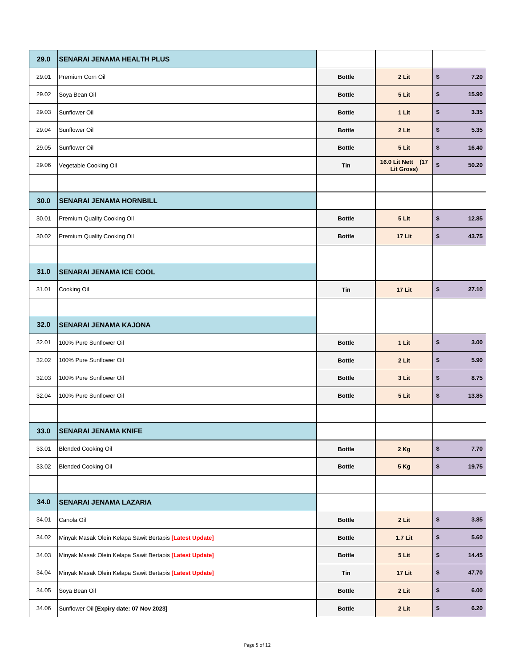| 29.0  | <b>SENARAI JENAMA HEALTH PLUS</b>                        |               |                                        |            |       |
|-------|----------------------------------------------------------|---------------|----------------------------------------|------------|-------|
| 29.01 | Premium Corn Oil                                         | <b>Bottle</b> | 2 Lit                                  | \$         | 7.20  |
| 29.02 | Soya Bean Oil                                            | <b>Bottle</b> | 5 Lit                                  | \$         | 15.90 |
| 29.03 | Sunflower Oil                                            | <b>Bottle</b> | 1 Lit                                  | \$         | 3.35  |
| 29.04 | Sunflower Oil                                            | <b>Bottle</b> | 2 Lit                                  | \$         | 5.35  |
| 29.05 | Sunflower Oil                                            | <b>Bottle</b> | 5 Lit                                  | \$         | 16.40 |
| 29.06 | Vegetable Cooking Oil                                    | Tin           | 16.0 Lit Nett (17<br><b>Lit Gross)</b> | \$         | 50.20 |
|       |                                                          |               |                                        |            |       |
| 30.0  | <b>SENARAI JENAMA HORNBILL</b>                           |               |                                        |            |       |
| 30.01 | Premium Quality Cooking Oil                              | <b>Bottle</b> | 5 Lit                                  | \$         | 12.85 |
| 30.02 | Premium Quality Cooking Oil                              | <b>Bottle</b> | 17 Lit                                 | \$         | 43.75 |
|       |                                                          |               |                                        |            |       |
| 31.0  | <b>SENARAI JENAMA ICE COOL</b>                           |               |                                        |            |       |
| 31.01 | Cooking Oil                                              | Tin           | 17 Lit                                 | \$         | 27.10 |
|       |                                                          |               |                                        |            |       |
| 32.0  | <b>SENARAI JENAMA KAJONA</b>                             |               |                                        |            |       |
| 32.01 | 100% Pure Sunflower Oil                                  | <b>Bottle</b> | 1 Lit                                  | \$         | 3.00  |
| 32.02 | 100% Pure Sunflower Oil                                  | <b>Bottle</b> | 2 Lit                                  | \$         | 5.90  |
| 32.03 | 100% Pure Sunflower Oil                                  | <b>Bottle</b> | 3 Lit                                  | \$         | 8.75  |
| 32.04 | 100% Pure Sunflower Oil                                  | <b>Bottle</b> | 5 Lit                                  | \$         | 13.85 |
|       |                                                          |               |                                        |            |       |
| 33.0  | <b>SENARAI JENAMA KNIFE</b>                              |               |                                        |            |       |
| 33.01 | <b>Blended Cooking Oil</b>                               | <b>Bottle</b> | 2 Kg                                   | \$         | 7.70  |
| 33.02 | <b>Blended Cooking Oil</b>                               | <b>Bottle</b> | <b>5 Kg</b>                            | $\pmb{\$}$ | 19.75 |
|       |                                                          |               |                                        |            |       |
| 34.0  | <b>SENARAI JENAMA LAZARIA</b>                            |               |                                        |            |       |
| 34.01 | Canola Oil                                               | <b>Bottle</b> | 2 Lit                                  | \$         | 3.85  |
| 34.02 | Minyak Masak Olein Kelapa Sawit Bertapis [Latest Update] | <b>Bottle</b> | 1.7 Lit                                | \$         | 5.60  |
| 34.03 | Minyak Masak Olein Kelapa Sawit Bertapis [Latest Update] | <b>Bottle</b> | 5 Lit                                  | \$         | 14.45 |
| 34.04 | Minyak Masak Olein Kelapa Sawit Bertapis [Latest Update] | Tin           | 17 Lit                                 | \$         | 47.70 |
| 34.05 | Soya Bean Oil                                            | <b>Bottle</b> | 2 Lit                                  | \$         | 6.00  |
| 34.06 | Sunflower Oil [Expiry date: 07 Nov 2023]                 | <b>Bottle</b> | 2 Lit                                  | \$         | 6.20  |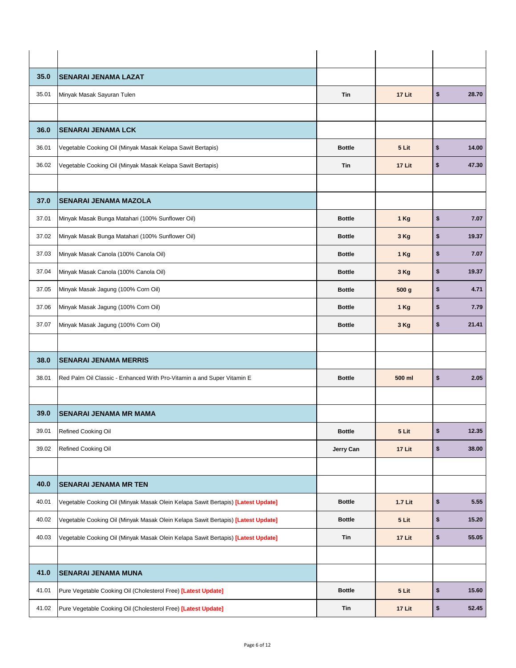| 35.0  | <b>SENARAI JENAMA LAZAT</b>                                                      |               |         |             |
|-------|----------------------------------------------------------------------------------|---------------|---------|-------------|
| 35.01 | Minyak Masak Sayuran Tulen                                                       | Tin           | 17 Lit  | \$<br>28.70 |
|       |                                                                                  |               |         |             |
| 36.0  | <b>SENARAI JENAMA LCK</b>                                                        |               |         |             |
| 36.01 | Vegetable Cooking Oil (Minyak Masak Kelapa Sawit Bertapis)                       | <b>Bottle</b> | 5 Lit   | \$<br>14.00 |
| 36.02 | Vegetable Cooking Oil (Minyak Masak Kelapa Sawit Bertapis)                       | Tin           | 17 Lit  | \$<br>47.30 |
|       |                                                                                  |               |         |             |
| 37.0  | <b>SENARAI JENAMA MAZOLA</b>                                                     |               |         |             |
| 37.01 | Minyak Masak Bunga Matahari (100% Sunflower Oil)                                 | <b>Bottle</b> | 1 Kg    | \$<br>7.07  |
| 37.02 | Minyak Masak Bunga Matahari (100% Sunflower Oil)                                 | <b>Bottle</b> | 3 Kg    | \$<br>19.37 |
| 37.03 | Minyak Masak Canola (100% Canola Oil)                                            | <b>Bottle</b> | 1 Kg    | \$<br>7.07  |
| 37.04 | Minyak Masak Canola (100% Canola Oil)                                            | <b>Bottle</b> | 3 Kg    | \$<br>19.37 |
| 37.05 | Minyak Masak Jagung (100% Corn Oil)                                              | <b>Bottle</b> | 500 g   | \$<br>4.71  |
| 37.06 | Minyak Masak Jagung (100% Corn Oil)                                              | <b>Bottle</b> | 1 Kg    | \$<br>7.79  |
| 37.07 | Minyak Masak Jagung (100% Corn Oil)                                              | <b>Bottle</b> | 3 Kg    | \$<br>21.41 |
|       |                                                                                  |               |         |             |
| 38.0  | <b>SENARAI JENAMA MERRIS</b>                                                     |               |         |             |
| 38.01 | Red Palm Oil Classic - Enhanced With Pro-Vitamin a and Super Vitamin E           | <b>Bottle</b> | 500 ml  | \$<br>2.05  |
|       |                                                                                  |               |         |             |
| 39.0  | <b>SENARAI JENAMA MR MAMA</b>                                                    |               |         |             |
| 39.01 | Refined Cooking Oil                                                              | <b>Bottle</b> | 5 Lit   | \$<br>12.35 |
| 39.02 | Refined Cooking Oil                                                              | Jerry Can     | 17 Lit  | \$<br>38.00 |
|       |                                                                                  |               |         |             |
| 40.0  | <b>SENARAI JENAMA MR TEN</b>                                                     |               |         |             |
| 40.01 | Vegetable Cooking Oil (Minyak Masak Olein Kelapa Sawit Bertapis) [Latest Update] | <b>Bottle</b> | 1.7 Lit | \$<br>5.55  |
| 40.02 | Vegetable Cooking Oil (Minyak Masak Olein Kelapa Sawit Bertapis) [Latest Update] | <b>Bottle</b> | 5 Lit   | \$<br>15.20 |
| 40.03 | Vegetable Cooking Oil (Minyak Masak Olein Kelapa Sawit Bertapis) [Latest Update] | Tin           | 17 Lit  | \$<br>55.05 |
|       |                                                                                  |               |         |             |
| 41.0  | <b>SENARAI JENAMA MUNA</b>                                                       |               |         |             |
| 41.01 | Pure Vegetable Cooking Oil (Cholesterol Free) [Latest Update]                    | <b>Bottle</b> | 5 Lit   | \$<br>15.60 |
| 41.02 | Pure Vegetable Cooking Oil (Cholesterol Free) [Latest Update]                    | Tin           | 17 Lit  | \$<br>52.45 |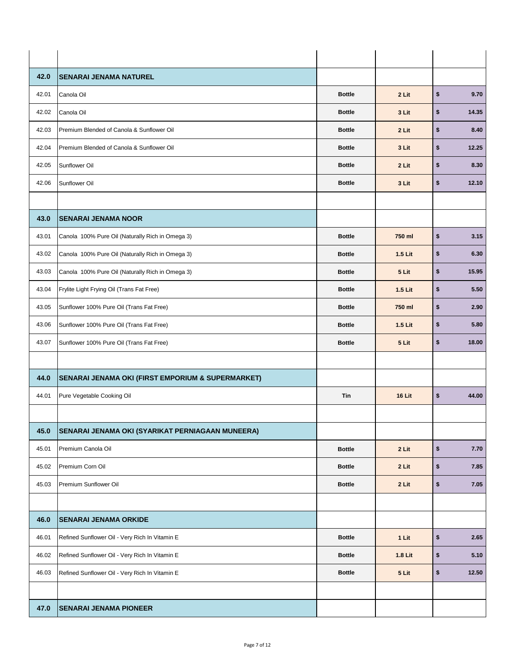| 42.0  | <b>SENARAI JENAMA NATUREL</b>                     |               |         |            |       |
|-------|---------------------------------------------------|---------------|---------|------------|-------|
| 42.01 | Canola Oil                                        | <b>Bottle</b> | 2 Lit   | $\pmb{\$}$ | 9.70  |
| 42.02 | Canola Oil                                        | <b>Bottle</b> | 3 Lit   | \$         | 14.35 |
| 42.03 | Premium Blended of Canola & Sunflower Oil         | <b>Bottle</b> | 2 Lit   | \$         | 8.40  |
| 42.04 | Premium Blended of Canola & Sunflower Oil         | <b>Bottle</b> | 3 Lit   | \$         | 12.25 |
| 42.05 | Sunflower Oil                                     | <b>Bottle</b> | 2 Lit   | \$         | 8.30  |
| 42.06 | Sunflower Oil                                     | <b>Bottle</b> | 3 Lit   | \$         | 12.10 |
|       |                                                   |               |         |            |       |
| 43.0  | <b>SENARAI JENAMA NOOR</b>                        |               |         |            |       |
| 43.01 | Canola 100% Pure Oil (Naturally Rich in Omega 3)  | <b>Bottle</b> | 750 ml  | \$         | 3.15  |
| 43.02 | Canola 100% Pure Oil (Naturally Rich in Omega 3)  | <b>Bottle</b> | 1.5 Lit | \$         | 6.30  |
| 43.03 | Canola 100% Pure Oil (Naturally Rich in Omega 3)  | <b>Bottle</b> | 5 Lit   | \$         | 15.95 |
| 43.04 | Frylite Light Frying Oil (Trans Fat Free)         | <b>Bottle</b> | 1.5 Lit | \$         | 5.50  |
| 43.05 | Sunflower 100% Pure Oil (Trans Fat Free)          | <b>Bottle</b> | 750 ml  | \$         | 2.90  |
| 43.06 | Sunflower 100% Pure Oil (Trans Fat Free)          | <b>Bottle</b> | 1.5 Lit | \$         | 5.80  |
| 43.07 | Sunflower 100% Pure Oil (Trans Fat Free)          | <b>Bottle</b> | 5 Lit   | \$         | 18.00 |
|       |                                                   |               |         |            |       |
| 44.0  | SENARAI JENAMA OKI (FIRST EMPORIUM & SUPERMARKET) |               |         |            |       |
| 44.01 | Pure Vegetable Cooking Oil                        | Tin           | 16 Lit  | \$         | 44.00 |
|       |                                                   |               |         |            |       |
| 45.0  | SENARAI JENAMA OKI (SYARIKAT PERNIAGAAN MUNEERA)  |               |         |            |       |
| 45.01 | Premium Canola Oil                                | <b>Bottle</b> | 2 Lit   | $\pmb{\$}$ | 7.70  |
| 45.02 | Premium Corn Oil                                  | <b>Bottle</b> | 2 Lit   | \$         | 7.85  |
| 45.03 | Premium Sunflower Oil                             | <b>Bottle</b> | 2 Lit   | \$         | 7.05  |
|       |                                                   |               |         |            |       |
| 46.0  | <b>SENARAI JENAMA ORKIDE</b>                      |               |         |            |       |
| 46.01 | Refined Sunflower Oil - Very Rich In Vitamin E    | <b>Bottle</b> | 1 Lit   | $\pmb{\$}$ | 2.65  |
| 46.02 | Refined Sunflower Oil - Very Rich In Vitamin E    | <b>Bottle</b> | 1.8 Lit | $\pmb{\$}$ | 5.10  |
| 46.03 | Refined Sunflower Oil - Very Rich In Vitamin E    | <b>Bottle</b> | 5 Lit   | \$         | 12.50 |
|       |                                                   |               |         |            |       |
| 47.0  | <b>SENARAI JENAMA PIONEER</b>                     |               |         |            |       |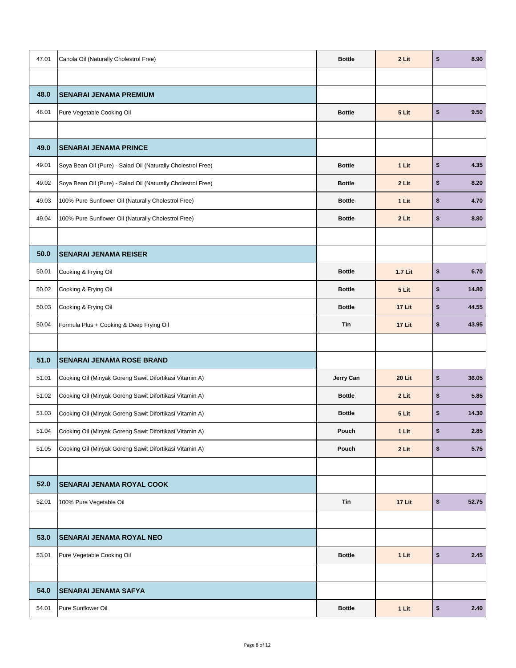| 47.01 | Canola Oil (Naturally Cholestrol Free)                       | <b>Bottle</b> | 2 Lit   | \$         | 8.90  |
|-------|--------------------------------------------------------------|---------------|---------|------------|-------|
|       |                                                              |               |         |            |       |
| 48.0  | <b>SENARAI JENAMA PREMIUM</b>                                |               |         |            |       |
| 48.01 | Pure Vegetable Cooking Oil                                   | <b>Bottle</b> | 5 Lit   | $\pmb{\$}$ | 9.50  |
|       |                                                              |               |         |            |       |
| 49.0  | <b>SENARAI JENAMA PRINCE</b>                                 |               |         |            |       |
| 49.01 | Soya Bean Oil (Pure) - Salad Oil (Naturally Cholestrol Free) | <b>Bottle</b> | 1 Lit   | $\pmb{\$}$ | 4.35  |
| 49.02 | Soya Bean Oil (Pure) - Salad Oil (Naturally Cholestrol Free) | <b>Bottle</b> | 2 Lit   | \$         | 8.20  |
| 49.03 | 100% Pure Sunflower Oil (Naturally Cholestrol Free)          | <b>Bottle</b> | 1 Lit   | \$         | 4.70  |
| 49.04 | 100% Pure Sunflower Oil (Naturally Cholestrol Free)          | <b>Bottle</b> | 2 Lit   | \$         | 8.80  |
|       |                                                              |               |         |            |       |
| 50.0  | <b>SENARAI JENAMA REISER</b>                                 |               |         |            |       |
| 50.01 | Cooking & Frying Oil                                         | <b>Bottle</b> | 1.7 Lit | $\pmb{\$}$ | 6.70  |
| 50.02 | Cooking & Frying Oil                                         | <b>Bottle</b> | 5 Lit   | \$         | 14.80 |
| 50.03 | Cooking & Frying Oil                                         | <b>Bottle</b> | 17 Lit  | \$         | 44.55 |
| 50.04 | Formula Plus + Cooking & Deep Frying Oil                     | Tin           | 17 Lit  | \$         | 43.95 |
|       |                                                              |               |         |            |       |
| 51.0  | <b>SENARAI JENAMA ROSE BRAND</b>                             |               |         |            |       |
| 51.01 | Cooking Oil (Minyak Goreng Sawit Difortikasi Vitamin A)      | Jerry Can     | 20 Lit  | \$         | 36.05 |
| 51.02 | Cooking Oil (Minyak Goreng Sawit Difortikasi Vitamin A)      | <b>Bottle</b> | 2 Lit   | \$         | 5.85  |
| 51.03 | Cooking Oil (Minyak Goreng Sawit Difortikasi Vitamin A)      | <b>Bottle</b> | 5 Lit   | \$         | 14.30 |
| 51.04 | Cooking Oil (Minyak Goreng Sawit Difortikasi Vitamin A)      | Pouch         | 1 Lit   | \$         | 2.85  |
| 51.05 | Cooking Oil (Minyak Goreng Sawit Difortikasi Vitamin A)      | Pouch         | 2 Lit   | \$         | 5.75  |
|       |                                                              |               |         |            |       |
| 52.0  | <b>SENARAI JENAMA ROYAL COOK</b>                             |               |         |            |       |
| 52.01 | 100% Pure Vegetable Oil                                      | Tin           | 17 Lit  | $\pmb{\$}$ | 52.75 |
|       |                                                              |               |         |            |       |
| 53.0  | <b>SENARAI JENAMA ROYAL NEO</b>                              |               |         |            |       |
|       |                                                              |               |         |            |       |
| 53.01 | Pure Vegetable Cooking Oil                                   | <b>Bottle</b> | 1 Lit   | $\pmb{\$}$ | 2.45  |
|       |                                                              |               |         |            |       |
| 54.0  | <b>SENARAI JENAMA SAFYA</b>                                  |               |         |            |       |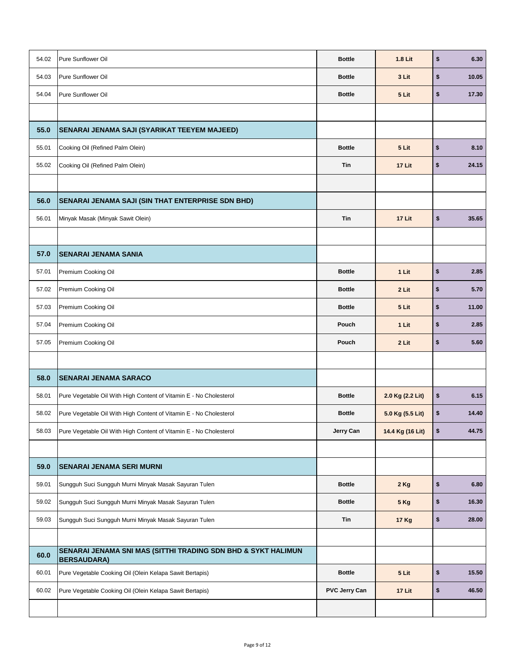| 54.02 | Pure Sunflower Oil                                                                  | <b>Bottle</b>        | 1.8 Lit          | \$<br>6.30  |
|-------|-------------------------------------------------------------------------------------|----------------------|------------------|-------------|
| 54.03 | Pure Sunflower Oil                                                                  | <b>Bottle</b>        | 3 Lit            | \$<br>10.05 |
| 54.04 | Pure Sunflower Oil                                                                  | <b>Bottle</b>        | 5 Lit            | \$<br>17.30 |
|       |                                                                                     |                      |                  |             |
| 55.0  | SENARAI JENAMA SAJI (SYARIKAT TEEYEM MAJEED)                                        |                      |                  |             |
| 55.01 | Cooking Oil (Refined Palm Olein)                                                    | <b>Bottle</b>        | 5 Lit            | \$<br>8.10  |
| 55.02 | Cooking Oil (Refined Palm Olein)                                                    | Tin                  | 17 Lit           | \$<br>24.15 |
|       |                                                                                     |                      |                  |             |
| 56.0  | <b>SENARAI JENAMA SAJI (SIN THAT ENTERPRISE SDN BHD)</b>                            |                      |                  |             |
| 56.01 | Minyak Masak (Minyak Sawit Olein)                                                   | Tin                  | 17 Lit           | \$<br>35.65 |
|       |                                                                                     |                      |                  |             |
| 57.0  | <b>SENARAI JENAMA SANIA</b>                                                         |                      |                  |             |
| 57.01 | Premium Cooking Oil                                                                 | <b>Bottle</b>        | 1 Lit            | \$<br>2.85  |
| 57.02 | Premium Cooking Oil                                                                 | <b>Bottle</b>        | 2 Lit            | \$<br>5.70  |
| 57.03 | Premium Cooking Oil                                                                 | <b>Bottle</b>        | 5 Lit            | \$<br>11.00 |
| 57.04 | Premium Cooking Oil                                                                 | Pouch                | 1 Lit            | \$<br>2.85  |
| 57.05 | Premium Cooking Oil                                                                 | Pouch                | 2 Lit            | \$<br>5.60  |
|       |                                                                                     |                      |                  |             |
| 58.0  | SENARAI JENAMA SARACO                                                               |                      |                  |             |
| 58.01 | Pure Vegetable Oil With High Content of Vitamin E - No Cholesterol                  | <b>Bottle</b>        | 2.0 Kg (2.2 Lit) | \$<br>6.15  |
| 58.02 | Pure Vegetable Oil With High Content of Vitamin E - No Cholesterol                  | <b>Bottle</b>        | 5.0 Kg (5.5 Lit) | \$<br>14.40 |
| 58.03 | Pure Vegetable Oil With High Content of Vitamin E - No Cholesterol                  | Jerry Can            | 14.4 Kg (16 Lit) | \$<br>44.75 |
|       |                                                                                     |                      |                  |             |
| 59.0  | <b>SENARAI JENAMA SERI MURNI</b>                                                    |                      |                  |             |
| 59.01 | Sungguh Suci Sungguh Murni Minyak Masak Sayuran Tulen                               | <b>Bottle</b>        | 2 Kg             | \$<br>6.80  |
| 59.02 | Sungguh Suci Sungguh Murni Minyak Masak Sayuran Tulen                               | <b>Bottle</b>        | <b>5 Kg</b>      | \$<br>16.30 |
| 59.03 | Sungguh Suci Sungguh Murni Minyak Masak Sayuran Tulen                               | Tin                  | <b>17 Kg</b>     | \$<br>28.00 |
|       |                                                                                     |                      |                  |             |
| 60.0  | SENARAI JENAMA SNI MAS (SITTHI TRADING SDN BHD & SYKT HALIMUN<br><b>BERSAUDARA)</b> |                      |                  |             |
| 60.01 | Pure Vegetable Cooking Oil (Olein Kelapa Sawit Bertapis)                            | <b>Bottle</b>        | 5 Lit            | \$<br>15.50 |
| 60.02 | Pure Vegetable Cooking Oil (Olein Kelapa Sawit Bertapis)                            | <b>PVC Jerry Can</b> | 17 Lit           | \$<br>46.50 |
|       |                                                                                     |                      |                  |             |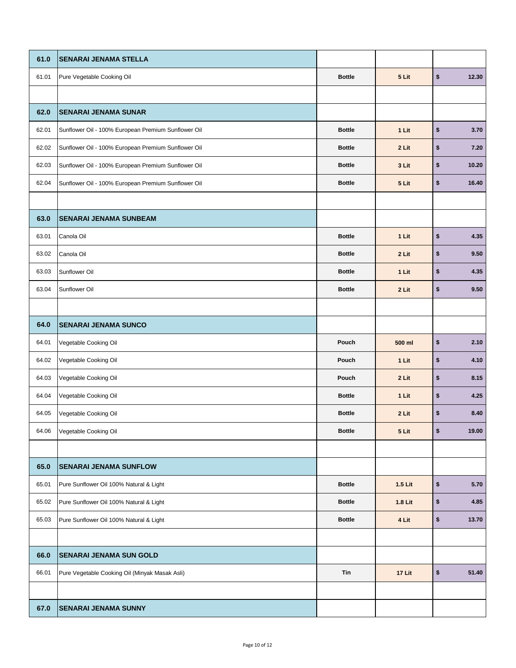| 61.0  | <b>SENARAI JENAMA STELLA</b>                        |               |         |             |
|-------|-----------------------------------------------------|---------------|---------|-------------|
| 61.01 | Pure Vegetable Cooking Oil                          | <b>Bottle</b> | 5 Lit   | \$<br>12.30 |
|       |                                                     |               |         |             |
| 62.0  | <b>SENARAI JENAMA SUNAR</b>                         |               |         |             |
| 62.01 | Sunflower Oil - 100% European Premium Sunflower Oil | <b>Bottle</b> | 1 Lit   | \$<br>3.70  |
| 62.02 | Sunflower Oil - 100% European Premium Sunflower Oil | <b>Bottle</b> | 2 Lit   | \$<br>7.20  |
| 62.03 | Sunflower Oil - 100% European Premium Sunflower Oil | <b>Bottle</b> | 3 Lit   | \$<br>10.20 |
| 62.04 | Sunflower Oil - 100% European Premium Sunflower Oil | <b>Bottle</b> | 5 Lit   | \$<br>16.40 |
|       |                                                     |               |         |             |
| 63.0  | <b>SENARAI JENAMA SUNBEAM</b>                       |               |         |             |
| 63.01 | Canola Oil                                          | <b>Bottle</b> | 1 Lit   | \$<br>4.35  |
| 63.02 | Canola Oil                                          | <b>Bottle</b> | 2 Lit   | \$<br>9.50  |
| 63.03 | Sunflower Oil                                       | <b>Bottle</b> | 1 Lit   | \$<br>4.35  |
| 63.04 | Sunflower Oil                                       | <b>Bottle</b> | 2 Lit   | \$<br>9.50  |
|       |                                                     |               |         |             |
| 64.0  | <b>SENARAI JENAMA SUNCO</b>                         |               |         |             |
| 64.01 | Vegetable Cooking Oil                               | Pouch         | 500 ml  | \$<br>2.10  |
| 64.02 | Vegetable Cooking Oil                               | Pouch         | 1 Lit   | \$<br>4.10  |
| 64.03 | Vegetable Cooking Oil                               | Pouch         | 2 Lit   | \$<br>8.15  |
| 64.04 | Vegetable Cooking Oil                               | <b>Bottle</b> | 1 Lit   | \$<br>4.25  |
| 64.05 | Vegetable Cooking Oil                               | <b>Bottle</b> | 2 Lit   | \$<br>8.40  |
| 64.06 | Vegetable Cooking Oil                               | <b>Bottle</b> | 5 Lit   | \$<br>19.00 |
|       |                                                     |               |         |             |
| 65.0  | <b>SENARAI JENAMA SUNFLOW</b>                       |               |         |             |
| 65.01 | Pure Sunflower Oil 100% Natural & Light             | <b>Bottle</b> | 1.5 Lit | \$<br>5.70  |
| 65.02 | Pure Sunflower Oil 100% Natural & Light             | <b>Bottle</b> | 1.8 Lit | \$<br>4.85  |
| 65.03 | Pure Sunflower Oil 100% Natural & Light             | <b>Bottle</b> | 4 Lit   | \$<br>13.70 |
|       |                                                     |               |         |             |
| 66.0  | <b>SENARAI JENAMA SUN GOLD</b>                      |               |         |             |
| 66.01 | Pure Vegetable Cooking Oil (Minyak Masak Asli)      | Tin           | 17 Lit  | \$<br>51.40 |
|       |                                                     |               |         |             |
| 67.0  | <b>SENARAI JENAMA SUNNY</b>                         |               |         |             |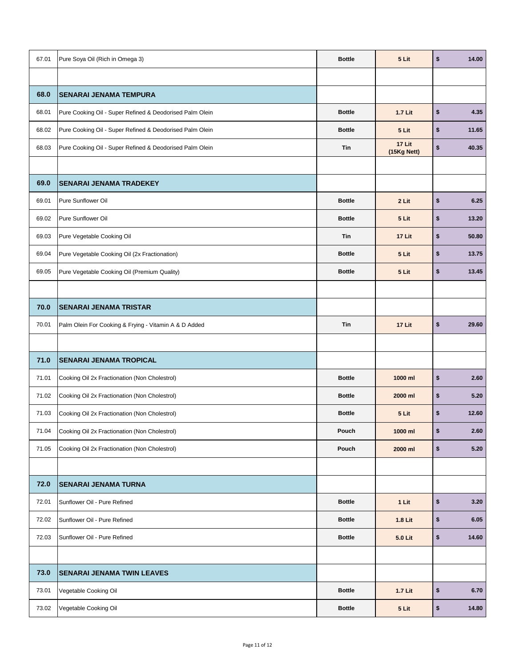| 67.01 | Pure Soya Oil (Rich in Omega 3)                          | <b>Bottle</b> | 5 Lit                 | \$<br>14.00 |
|-------|----------------------------------------------------------|---------------|-----------------------|-------------|
|       |                                                          |               |                       |             |
| 68.0  | <b>SENARAI JENAMA TEMPURA</b>                            |               |                       |             |
| 68.01 | Pure Cooking Oil - Super Refined & Deodorised Palm Olein | <b>Bottle</b> | 1.7 Lit               | \$<br>4.35  |
| 68.02 | Pure Cooking Oil - Super Refined & Deodorised Palm Olein | <b>Bottle</b> | 5 Lit                 | \$<br>11.65 |
| 68.03 | Pure Cooking Oil - Super Refined & Deodorised Palm Olein | Tin           | 17 Lit<br>(15Kg Nett) | \$<br>40.35 |
|       |                                                          |               |                       |             |
| 69.0  | <b>SENARAI JENAMA TRADEKEY</b>                           |               |                       |             |
| 69.01 | Pure Sunflower Oil                                       | <b>Bottle</b> | 2 Lit                 | \$<br>6.25  |
| 69.02 | Pure Sunflower Oil                                       | <b>Bottle</b> | 5 Lit                 | \$<br>13.20 |
| 69.03 | Pure Vegetable Cooking Oil                               | <b>Tin</b>    | 17 Lit                | \$<br>50.80 |
| 69.04 | Pure Vegetable Cooking Oil (2x Fractionation)            | <b>Bottle</b> | 5 Lit                 | \$<br>13.75 |
| 69.05 | Pure Vegetable Cooking Oil (Premium Quality)             | <b>Bottle</b> | 5 Lit                 | \$<br>13.45 |
|       |                                                          |               |                       |             |
| 70.0  | <b>SENARAI JENAMA TRISTAR</b>                            |               |                       |             |
| 70.01 | Palm Olein For Cooking & Frying - Vitamin A & D Added    | Tin           | 17 Lit                | \$<br>29.60 |
|       |                                                          |               |                       |             |
| 71.0  | <b>SENARAI JENAMA TROPICAL</b>                           |               |                       |             |
| 71.01 | Cooking Oil 2x Fractionation (Non Cholestrol)            | <b>Bottle</b> | 1000 ml               | \$<br>2.60  |
| 71.02 | Cooking Oil 2x Fractionation (Non Cholestrol)            | <b>Bottle</b> | 2000 ml               | \$<br>5.20  |
| 71.03 | Cooking Oil 2x Fractionation (Non Cholestrol)            | <b>Bottle</b> | 5 Lit                 | \$<br>12.60 |
| 71.04 | Cooking Oil 2x Fractionation (Non Cholestrol)            | Pouch         | 1000 ml               | \$<br>2.60  |
| 71.05 | Cooking Oil 2x Fractionation (Non Cholestrol)            | Pouch         | 2000 ml               | \$<br>5.20  |
|       |                                                          |               |                       |             |
| 72.0  | <b>SENARAI JENAMA TURNA</b>                              |               |                       |             |
| 72.01 | Sunflower Oil - Pure Refined                             | <b>Bottle</b> | 1 Lit                 | \$<br>3.20  |
| 72.02 | Sunflower Oil - Pure Refined                             | <b>Bottle</b> | 1.8 Lit               | \$<br>6.05  |
| 72.03 | Sunflower Oil - Pure Refined                             | <b>Bottle</b> | 5.0 Lit               | \$<br>14.60 |
|       |                                                          |               |                       |             |
| 73.0  | <b>SENARAI JENAMA TWIN LEAVES</b>                        |               |                       |             |
| 73.01 | Vegetable Cooking Oil                                    | <b>Bottle</b> | 1.7 Lit               | \$<br>6.70  |
| 73.02 | Vegetable Cooking Oil                                    | <b>Bottle</b> | 5 Lit                 | \$<br>14.80 |